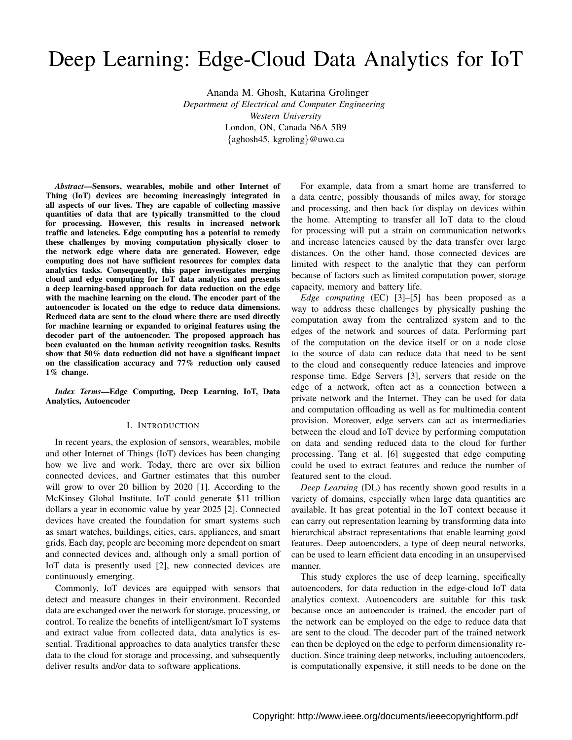# Deep Learning: Edge-Cloud Data Analytics for IoT

Ananda M. Ghosh, Katarina Grolinger *Department of Electrical and Computer Engineering Western University* London, ON, Canada N6A 5B9 {aghosh45, kgroling}@uwo.ca

*Abstract*—Sensors, wearables, mobile and other Internet of Thing (IoT) devices are becoming increasingly integrated in all aspects of our lives. They are capable of collecting massive quantities of data that are typically transmitted to the cloud for processing. However, this results in increased network traffic and latencies. Edge computing has a potential to remedy these challenges by moving computation physically closer to the network edge where data are generated. However, edge computing does not have sufficient resources for complex data analytics tasks. Consequently, this paper investigates merging cloud and edge computing for IoT data analytics and presents a deep learning-based approach for data reduction on the edge with the machine learning on the cloud. The encoder part of the autoencoder is located on the edge to reduce data dimensions. Reduced data are sent to the cloud where there are used directly for machine learning or expanded to original features using the decoder part of the autoencoder. The proposed approach has been evaluated on the human activity recognition tasks. Results show that 50% data reduction did not have a significant impact on the classification accuracy and 77% reduction only caused 1% change.

*Index Terms*—Edge Computing, Deep Learning, IoT, Data Analytics, Autoencoder

# I. INTRODUCTION

In recent years, the explosion of sensors, wearables, mobile and other Internet of Things (IoT) devices has been changing how we live and work. Today, there are over six billion connected devices, and Gartner estimates that this number will grow to over 20 billion by 2020 [1]. According to the McKinsey Global Institute, IoT could generate \$11 trillion dollars a year in economic value by year 2025 [2]. Connected devices have created the foundation for smart systems such as smart watches, buildings, cities, cars, appliances, and smart grids. Each day, people are becoming more dependent on smart and connected devices and, although only a small portion of IoT data is presently used [2], new connected devices are continuously emerging.

Commonly, IoT devices are equipped with sensors that detect and measure changes in their environment. Recorded data are exchanged over the network for storage, processing, or control. To realize the benefits of intelligent/smart IoT systems and extract value from collected data, data analytics is essential. Traditional approaches to data analytics transfer these data to the cloud for storage and processing, and subsequently deliver results and/or data to software applications.

For example, data from a smart home are transferred to a data centre, possibly thousands of miles away, for storage and processing, and then back for display on devices within the home. Attempting to transfer all IoT data to the cloud for processing will put a strain on communication networks and increase latencies caused by the data transfer over large distances. On the other hand, those connected devices are limited with respect to the analytic that they can perform because of factors such as limited computation power, storage capacity, memory and battery life.

*Edge computing* (EC) [3]–[5] has been proposed as a way to address these challenges by physically pushing the computation away from the centralized system and to the edges of the network and sources of data. Performing part of the computation on the device itself or on a node close to the source of data can reduce data that need to be sent to the cloud and consequently reduce latencies and improve response time. Edge Servers [3], servers that reside on the edge of a network, often act as a connection between a private network and the Internet. They can be used for data and computation offloading as well as for multimedia content provision. Moreover, edge servers can act as intermediaries between the cloud and IoT device by performing computation on data and sending reduced data to the cloud for further processing. Tang et al. [6] suggested that edge computing could be used to extract features and reduce the number of featured sent to the cloud.

*Deep Learning* (DL) has recently shown good results in a variety of domains, especially when large data quantities are available. It has great potential in the IoT context because it can carry out representation learning by transforming data into hierarchical abstract representations that enable learning good features. Deep autoencoders, a type of deep neural networks, can be used to learn efficient data encoding in an unsupervised manner.

This study explores the use of deep learning, specifically autoencoders, for data reduction in the edge-cloud IoT data analytics context. Autoencoders are suitable for this task because once an autoencoder is trained, the encoder part of the network can be employed on the edge to reduce data that are sent to the cloud. The decoder part of the trained network can then be deployed on the edge to perform dimensionality reduction. Since training deep networks, including autoencoders, is computationally expensive, it still needs to be done on the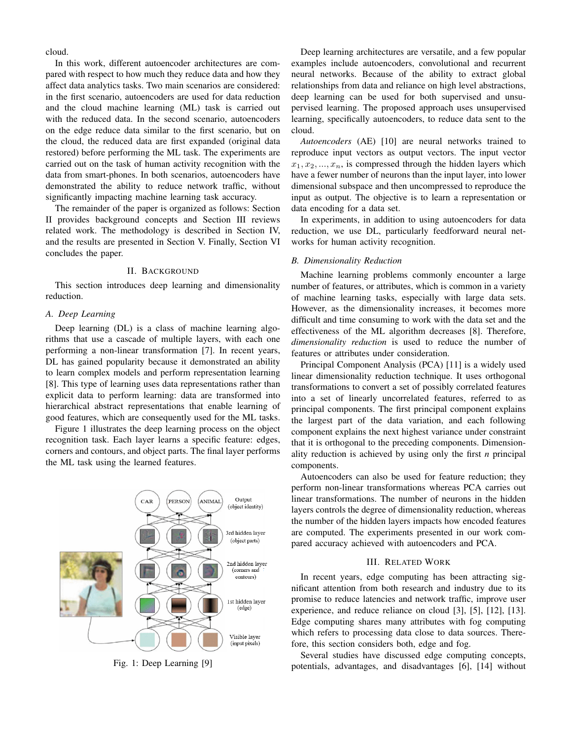cloud.

In this work, different autoencoder architectures are compared with respect to how much they reduce data and how they affect data analytics tasks. Two main scenarios are considered: in the first scenario, autoencoders are used for data reduction and the cloud machine learning (ML) task is carried out with the reduced data. In the second scenario, autoencoders on the edge reduce data similar to the first scenario, but on the cloud, the reduced data are first expanded (original data restored) before performing the ML task. The experiments are carried out on the task of human activity recognition with the data from smart-phones. In both scenarios, autoencoders have demonstrated the ability to reduce network traffic, without significantly impacting machine learning task accuracy.

The remainder of the paper is organized as follows: Section II provides background concepts and Section III reviews related work. The methodology is described in Section IV, and the results are presented in Section V. Finally, Section VI concludes the paper.

## II. BACKGROUND

This section introduces deep learning and dimensionality reduction.

# *A. Deep Learning*

Deep learning (DL) is a class of machine learning algorithms that use a cascade of multiple layers, with each one performing a non-linear transformation [7]. In recent years, DL has gained popularity because it demonstrated an ability to learn complex models and perform representation learning [8]. This type of learning uses data representations rather than explicit data to perform learning: data are transformed into hierarchical abstract representations that enable learning of good features, which are consequently used for the ML tasks.

Figure 1 illustrates the deep learning process on the object recognition task. Each layer learns a specific feature: edges, corners and contours, and object parts. The final layer performs the ML task using the learned features.



Fig. 1: Deep Learning [9]

Deep learning architectures are versatile, and a few popular examples include autoencoders, convolutional and recurrent neural networks. Because of the ability to extract global relationships from data and reliance on high level abstractions, deep learning can be used for both supervised and unsupervised learning. The proposed approach uses unsupervised learning, specifically autoencoders, to reduce data sent to the cloud.

*Autoencoders* (AE) [10] are neural networks trained to reproduce input vectors as output vectors. The input vector  $x_1, x_2, \ldots, x_n$ , is compressed through the hidden layers which have a fewer number of neurons than the input layer, into lower dimensional subspace and then uncompressed to reproduce the input as output. The objective is to learn a representation or data encoding for a data set.

In experiments, in addition to using autoencoders for data reduction, we use DL, particularly feedforward neural networks for human activity recognition.

#### *B. Dimensionality Reduction*

Machine learning problems commonly encounter a large number of features, or attributes, which is common in a variety of machine learning tasks, especially with large data sets. However, as the dimensionality increases, it becomes more difficult and time consuming to work with the data set and the effectiveness of the ML algorithm decreases [8]. Therefore, *dimensionality reduction* is used to reduce the number of features or attributes under consideration.

Principal Component Analysis (PCA) [11] is a widely used linear dimensionality reduction technique. It uses orthogonal transformations to convert a set of possibly correlated features into a set of linearly uncorrelated features, referred to as principal components. The first principal component explains the largest part of the data variation, and each following component explains the next highest variance under constraint that it is orthogonal to the preceding components. Dimensionality reduction is achieved by using only the first *n* principal components.

Autoencoders can also be used for feature reduction; they perform non-linear transformations whereas PCA carries out linear transformations. The number of neurons in the hidden layers controls the degree of dimensionality reduction, whereas the number of the hidden layers impacts how encoded features are computed. The experiments presented in our work compared accuracy achieved with autoencoders and PCA.

#### III. RELATED WORK

In recent years, edge computing has been attracting significant attention from both research and industry due to its promise to reduce latencies and network traffic, improve user experience, and reduce reliance on cloud [3], [5], [12], [13]. Edge computing shares many attributes with fog computing which refers to processing data close to data sources. Therefore, this section considers both, edge and fog.

Several studies have discussed edge computing concepts, potentials, advantages, and disadvantages [6], [14] without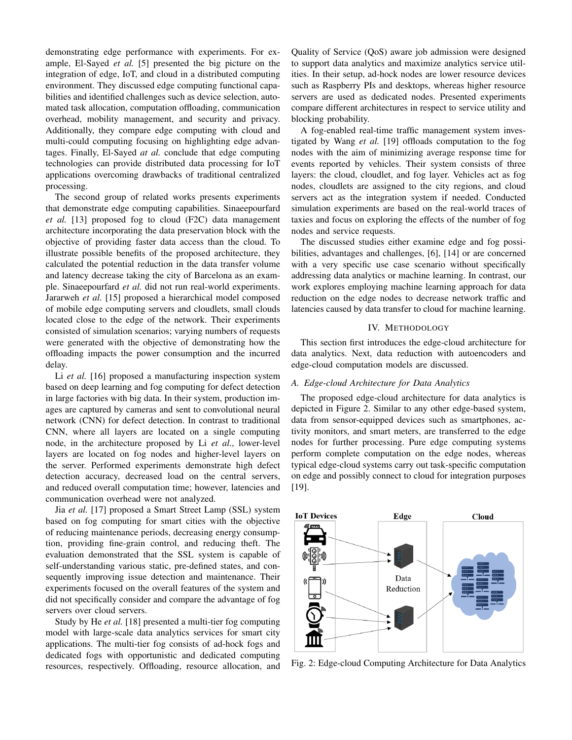demonstrating edge performance with experiments. For example, El-Sayed *et al.* [5] presented the big picture on the integration of edge, IoT, and cloud in a distributed computing environment. They discussed edge computing functional capabilities and identified challenges such as device selection, automated task allocation, computation offloading, communication overhead, mobility management, and security and privacy. Additionally, they compare edge computing with cloud and multi-could computing focusing on highlighting edge advantages. Finally, El-Sayed *at al.* conclude that edge computing technologies can provide distributed data processing for IoT applications overcoming drawbacks of traditional centralized processing.

The second group of related works presents experiments that demonstrate edge computing capabilities. Sinaeepourfard *et al.* [13] proposed fog to cloud (F2C) data management architecture incorporating the data preservation block with the objective of providing faster data access than the cloud. To illustrate possible benefits of the proposed architecture, they calculated the potential reduction in the data transfer volume and latency decrease taking the city of Barcelona as an example. Sinaeepourfard *et al.* did not run real-world experiments. Jararweh *et al.* [15] proposed a hierarchical model composed of mobile edge computing servers and cloudlets, small clouds located close to the edge of the network. Their experiments consisted of simulation scenarios; varying numbers of requests were generated with the objective of demonstrating how the offloading impacts the power consumption and the incurred delay.

Li *et al.* [16] proposed a manufacturing inspection system based on deep learning and fog computing for defect detection in large factories with big data. In their system, production images are captured by cameras and sent to convolutional neural network (CNN) for defect detection. In contrast to traditional CNN, where all layers are located on a single computing node, in the architecture proposed by Li *et al.*, lower-level layers are located on fog nodes and higher-level layers on the server. Performed experiments demonstrate high defect detection accuracy, decreased load on the central servers, and reduced overall computation time; however, latencies and communication overhead were not analyzed.

Jia *et al.* [17] proposed a Smart Street Lamp (SSL) system based on fog computing for smart cities with the objective of reducing maintenance periods, decreasing energy consumption, providing fine-grain control, and reducing theft. The evaluation demonstrated that the SSL system is capable of self-understanding various static, pre-defined states, and consequently improving issue detection and maintenance. Their experiments focused on the overall features of the system and did not specifically consider and compare the advantage of fog servers over cloud servers.

Study by He *et al.* [18] presented a multi-tier fog computing model with large-scale data analytics services for smart city applications. The multi-tier fog consists of ad-hock fogs and dedicated fogs with opportunistic and dedicated computing resources, respectively. Offloading, resource allocation, and

Quality of Service (QoS) aware job admission were designed to support data analytics and maximize analytics service utilities. In their setup, ad-hock nodes are lower resource devices such as Raspberry PIs and desktops, whereas higher resource servers are used as dedicated nodes. Presented experiments compare different architectures in respect to service utility and blocking probability.

A fog-enabled real-time traffic management system investigated by Wang *et al.* [19] offloads computation to the fog nodes with the aim of minimizing average response time for events reported by vehicles. Their system consists of three layers: the cloud, cloudlet, and fog layer. Vehicles act as fog nodes, cloudlets are assigned to the city regions, and cloud servers act as the integration system if needed. Conducted simulation experiments are based on the real-world traces of taxies and focus on exploring the effects of the number of fog nodes and service requests.

The discussed studies either examine edge and fog possibilities, advantages and challenges, [6], [14] or are concerned with a very specific use case scenario without specifically addressing data analytics or machine learning. In contrast, our work explores employing machine learning approach for data reduction on the edge nodes to decrease network traffic and latencies caused by data transfer to cloud for machine learning.

#### IV. METHODOLOGY

This section first introduces the edge-cloud architecture for data analytics. Next, data reduction with autoencoders and edge-cloud computation models are discussed.

## *A. Edge-cloud Architecture for Data Analytics*

The proposed edge-cloud architecture for data analytics is depicted in Figure 2. Similar to any other edge-based system, data from sensor-equipped devices such as smartphones, activity monitors, and smart meters, are transferred to the edge nodes for further processing. Pure edge computing systems perform complete computation on the edge nodes, whereas typical edge-cloud systems carry out task-specific computation on edge and possibly connect to cloud for integration purposes [19].



Fig. 2: Edge-cloud Computing Architecture for Data Analytics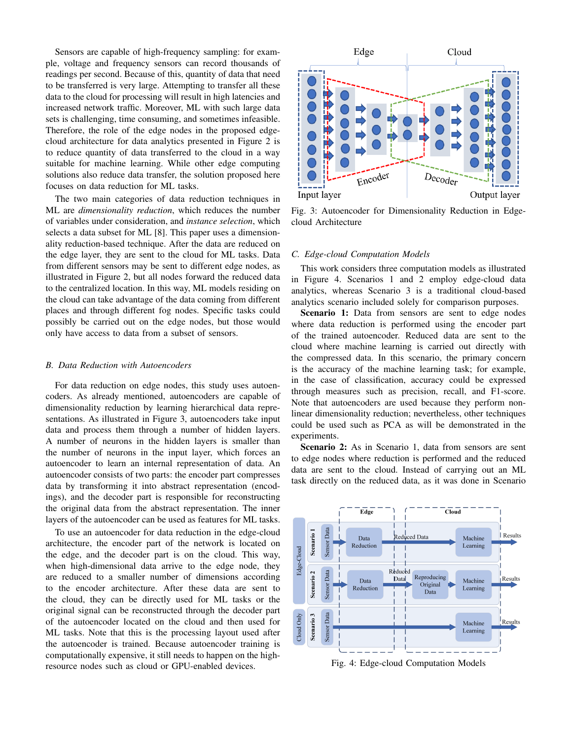Sensors are capable of high-frequency sampling: for example, voltage and frequency sensors can record thousands of readings per second. Because of this, quantity of data that need to be transferred is very large. Attempting to transfer all these data to the cloud for processing will result in high latencies and increased network traffic. Moreover, ML with such large data sets is challenging, time consuming, and sometimes infeasible. Therefore, the role of the edge nodes in the proposed edgecloud architecture for data analytics presented in Figure 2 is to reduce quantity of data transferred to the cloud in a way suitable for machine learning. While other edge computing solutions also reduce data transfer, the solution proposed here focuses on data reduction for ML tasks.

The two main categories of data reduction techniques in ML are *dimensionality reduction*, which reduces the number of variables under consideration, and *instance selection*, which selects a data subset for ML [8]. This paper uses a dimensionality reduction-based technique. After the data are reduced on the edge layer, they are sent to the cloud for ML tasks. Data from different sensors may be sent to different edge nodes, as illustrated in Figure 2, but all nodes forward the reduced data to the centralized location. In this way, ML models residing on the cloud can take advantage of the data coming from different places and through different fog nodes. Specific tasks could possibly be carried out on the edge nodes, but those would only have access to data from a subset of sensors.

## *B. Data Reduction with Autoencoders*

For data reduction on edge nodes, this study uses autoencoders. As already mentioned, autoencoders are capable of dimensionality reduction by learning hierarchical data representations. As illustrated in Figure 3, autoencoders take input data and process them through a number of hidden layers. A number of neurons in the hidden layers is smaller than the number of neurons in the input layer, which forces an autoencoder to learn an internal representation of data. An autoencoder consists of two parts: the encoder part compresses data by transforming it into abstract representation (encodings), and the decoder part is responsible for reconstructing the original data from the abstract representation. The inner layers of the autoencoder can be used as features for ML tasks.

To use an autoencoder for data reduction in the edge-cloud architecture, the encoder part of the network is located on the edge, and the decoder part is on the cloud. This way, when high-dimensional data arrive to the edge node, they are reduced to a smaller number of dimensions according to the encoder architecture. After these data are sent to the cloud, they can be directly used for ML tasks or the original signal can be reconstructed through the decoder part of the autoencoder located on the cloud and then used for ML tasks. Note that this is the processing layout used after the autoencoder is trained. Because autoencoder training is computationally expensive, it still needs to happen on the highresource nodes such as cloud or GPU-enabled devices.



Fig. 3: Autoencoder for Dimensionality Reduction in Edgecloud Architecture

## *C. Edge-cloud Computation Models*

This work considers three computation models as illustrated in Figure 4. Scenarios 1 and 2 employ edge-cloud data analytics, whereas Scenario 3 is a traditional cloud-based analytics scenario included solely for comparison purposes.

Scenario 1: Data from sensors are sent to edge nodes where data reduction is performed using the encoder part of the trained autoencoder. Reduced data are sent to the cloud where machine learning is carried out directly with the compressed data. In this scenario, the primary concern is the accuracy of the machine learning task; for example, in the case of classification, accuracy could be expressed through measures such as precision, recall, and F1-score. Note that autoencoders are used because they perform nonlinear dimensionality reduction; nevertheless, other techniques could be used such as PCA as will be demonstrated in the experiments.

Scenario 2: As in Scenario 1, data from sensors are sent to edge nodes where reduction is performed and the reduced data are sent to the cloud. Instead of carrying out an ML task directly on the reduced data, as it was done in Scenario



Fig. 4: Edge-cloud Computation Models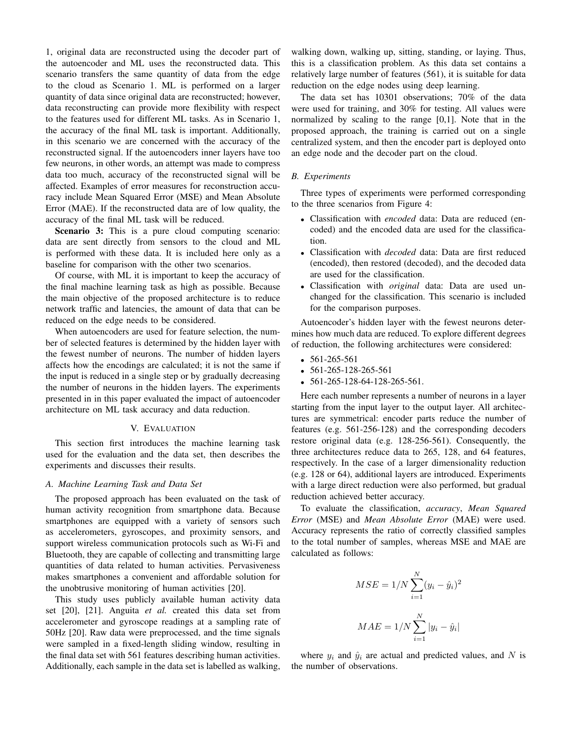1, original data are reconstructed using the decoder part of the autoencoder and ML uses the reconstructed data. This scenario transfers the same quantity of data from the edge to the cloud as Scenario 1. ML is performed on a larger quantity of data since original data are reconstructed; however, data reconstructing can provide more flexibility with respect to the features used for different ML tasks. As in Scenario 1, the accuracy of the final ML task is important. Additionally, in this scenario we are concerned with the accuracy of the reconstructed signal. If the autoencoders inner layers have too few neurons, in other words, an attempt was made to compress data too much, accuracy of the reconstructed signal will be affected. Examples of error measures for reconstruction accuracy include Mean Squared Error (MSE) and Mean Absolute Error (MAE). If the reconstructed data are of low quality, the accuracy of the final ML task will be reduced.

Scenario 3: This is a pure cloud computing scenario: data are sent directly from sensors to the cloud and ML is performed with these data. It is included here only as a baseline for comparison with the other two scenarios.

Of course, with ML it is important to keep the accuracy of the final machine learning task as high as possible. Because the main objective of the proposed architecture is to reduce network traffic and latencies, the amount of data that can be reduced on the edge needs to be considered.

When autoencoders are used for feature selection, the number of selected features is determined by the hidden layer with the fewest number of neurons. The number of hidden layers affects how the encodings are calculated; it is not the same if the input is reduced in a single step or by gradually decreasing the number of neurons in the hidden layers. The experiments presented in in this paper evaluated the impact of autoencoder architecture on ML task accuracy and data reduction.

#### V. EVALUATION

This section first introduces the machine learning task used for the evaluation and the data set, then describes the experiments and discusses their results.

# *A. Machine Learning Task and Data Set*

The proposed approach has been evaluated on the task of human activity recognition from smartphone data. Because smartphones are equipped with a variety of sensors such as accelerometers, gyroscopes, and proximity sensors, and support wireless communication protocols such as Wi-Fi and Bluetooth, they are capable of collecting and transmitting large quantities of data related to human activities. Pervasiveness makes smartphones a convenient and affordable solution for the unobtrusive monitoring of human activities [20].

This study uses publicly available human activity data set [20], [21]. Anguita *et al.* created this data set from accelerometer and gyroscope readings at a sampling rate of 50Hz [20]. Raw data were preprocessed, and the time signals were sampled in a fixed-length sliding window, resulting in the final data set with 561 features describing human activities. Additionally, each sample in the data set is labelled as walking,

walking down, walking up, sitting, standing, or laying. Thus, this is a classification problem. As this data set contains a relatively large number of features (561), it is suitable for data reduction on the edge nodes using deep learning.

The data set has 10301 observations; 70% of the data were used for training, and 30% for testing. All values were normalized by scaling to the range [0,1]. Note that in the proposed approach, the training is carried out on a single centralized system, and then the encoder part is deployed onto an edge node and the decoder part on the cloud.

#### *B. Experiments*

Three types of experiments were performed corresponding to the three scenarios from Figure 4:

- Classification with *encoded* data: Data are reduced (encoded) and the encoded data are used for the classification.
- Classification with *decoded* data: Data are first reduced (encoded), then restored (decoded), and the decoded data are used for the classification.
- Classification with *original* data: Data are used unchanged for the classification. This scenario is included for the comparison purposes.

Autoencoder's hidden layer with the fewest neurons determines how much data are reduced. To explore different degrees of reduction, the following architectures were considered:

- 561-265-561
- $561 265 128 265 561$
- 561-265-128-64-128-265-561.

Here each number represents a number of neurons in a layer starting from the input layer to the output layer. All architectures are symmetrical: encoder parts reduce the number of features (e.g. 561-256-128) and the corresponding decoders restore original data (e.g. 128-256-561). Consequently, the three architectures reduce data to 265, 128, and 64 features, respectively. In the case of a larger dimensionality reduction (e.g. 128 or 64), additional layers are introduced. Experiments with a large direct reduction were also performed, but gradual reduction achieved better accuracy.

To evaluate the classification, *accuracy*, *Mean Squared Error* (MSE) and *Mean Absolute Error* (MAE) were used. Accuracy represents the ratio of correctly classified samples to the total number of samples, whereas MSE and MAE are calculated as follows:

$$
MSE = 1/N \sum_{i=1}^{N} (y_i - \hat{y}_i)^2
$$

$$
MAE = 1/N \sum_{i=1}^{N} |y_i - \hat{y}_i|
$$

where  $y_i$  and  $\hat{y}_i$  are actual and predicted values, and N is the number of observations.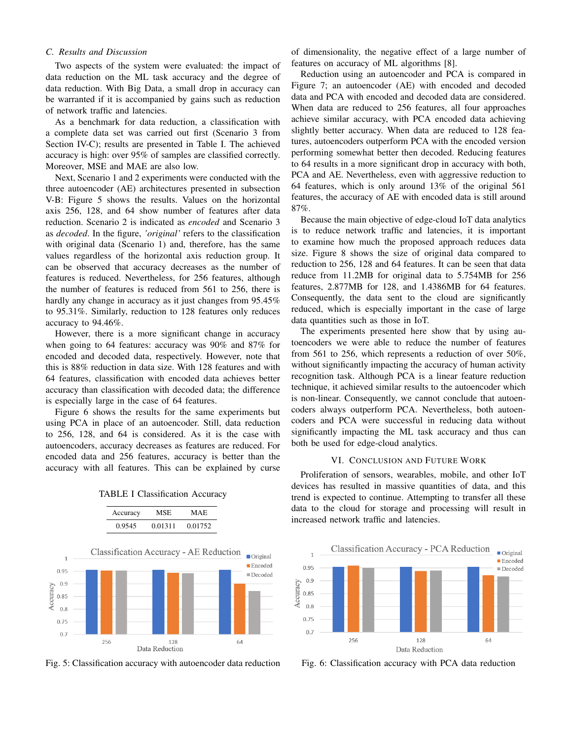## *C. Results and Discussion*

Two aspects of the system were evaluated: the impact of data reduction on the ML task accuracy and the degree of data reduction. With Big Data, a small drop in accuracy can be warranted if it is accompanied by gains such as reduction of network traffic and latencies.

As a benchmark for data reduction, a classification with a complete data set was carried out first (Scenario 3 from Section IV-C); results are presented in Table I. The achieved accuracy is high: over 95% of samples are classified correctly. Moreover, MSE and MAE are also low.

Next, Scenario 1 and 2 experiments were conducted with the three autoencoder (AE) architectures presented in subsection V-B: Figure 5 shows the results. Values on the horizontal axis 256, 128, and 64 show number of features after data reduction. Scenario 2 is indicated as *encoded* and Scenario 3 as *decoded*. In the figure, *'original'* refers to the classification with original data (Scenario 1) and, therefore, has the same values regardless of the horizontal axis reduction group. It can be observed that accuracy decreases as the number of features is reduced. Nevertheless, for 256 features, although the number of features is reduced from 561 to 256, there is hardly any change in accuracy as it just changes from 95.45% to 95.31%. Similarly, reduction to 128 features only reduces accuracy to 94.46%.

However, there is a more significant change in accuracy when going to 64 features: accuracy was 90% and 87% for encoded and decoded data, respectively. However, note that this is 88% reduction in data size. With 128 features and with 64 features, classification with encoded data achieves better accuracy than classification with decoded data; the difference is especially large in the case of 64 features.

Figure 6 shows the results for the same experiments but using PCA in place of an autoencoder. Still, data reduction to 256, 128, and 64 is considered. As it is the case with autoencoders, accuracy decreases as features are reduced. For encoded data and 256 features, accuracy is better than the accuracy with all features. This can be explained by curse

TABLE I Classification Accuracy





Fig. 5: Classification accuracy with autoencoder data reduction

of dimensionality, the negative effect of a large number of features on accuracy of ML algorithms [8].

Reduction using an autoencoder and PCA is compared in Figure 7; an autoencoder (AE) with encoded and decoded data and PCA with encoded and decoded data are considered. When data are reduced to 256 features, all four approaches achieve similar accuracy, with PCA encoded data achieving slightly better accuracy. When data are reduced to 128 features, autoencoders outperform PCA with the encoded version performing somewhat better then decoded. Reducing features to 64 results in a more significant drop in accuracy with both, PCA and AE. Nevertheless, even with aggressive reduction to 64 features, which is only around 13% of the original 561 features, the accuracy of AE with encoded data is still around 87%.

Because the main objective of edge-cloud IoT data analytics is to reduce network traffic and latencies, it is important to examine how much the proposed approach reduces data size. Figure 8 shows the size of original data compared to reduction to 256, 128 and 64 features. It can be seen that data reduce from 11.2MB for original data to 5.754MB for 256 features, 2.877MB for 128, and 1.4386MB for 64 features. Consequently, the data sent to the cloud are significantly reduced, which is especially important in the case of large data quantities such as those in IoT.

The experiments presented here show that by using autoencoders we were able to reduce the number of features from 561 to 256, which represents a reduction of over 50%, without significantly impacting the accuracy of human activity recognition task. Although PCA is a linear feature reduction technique, it achieved similar results to the autoencoder which is non-linear. Consequently, we cannot conclude that autoencoders always outperform PCA. Nevertheless, both autoencoders and PCA were successful in reducing data without significantly impacting the ML task accuracy and thus can both be used for edge-cloud analytics.

#### VI. CONCLUSION AND FUTURE WORK

Proliferation of sensors, wearables, mobile, and other IoT devices has resulted in massive quantities of data, and this trend is expected to continue. Attempting to transfer all these data to the cloud for storage and processing will result in increased network traffic and latencies.



Fig. 6: Classification accuracy with PCA data reduction